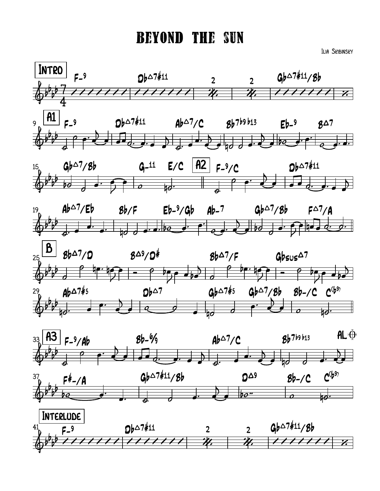## BeyonD the sun

Ilia Skibinsky